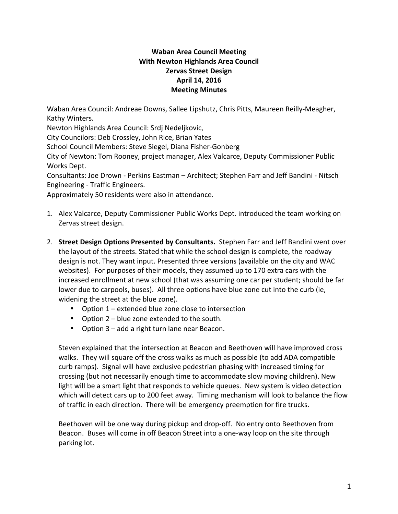## **Waban Area Council Meeting With Newton Highlands Area Council Zervas Street Design April 14, 2016 Meeting Minutes**

Waban Area Council: Andreae Downs, Sallee Lipshutz, Chris Pitts, Maureen Reilly-Meagher, Kathy Winters.

Newton Highlands Area Council: Srdj Nedeljkovic,

City Councilors: Deb Crossley, John Rice, Brian Yates

School Council Members: Steve Siegel, Diana Fisher-Gonberg

City of Newton: Tom Rooney, project manager, Alex Valcarce, Deputy Commissioner Public Works Dept.

Consultants: Joe Drown - Perkins Eastman - Architect; Stephen Farr and Jeff Bandini - Nitsch Engineering - Traffic Engineers.

Approximately 50 residents were also in attendance.

- 1. Alex Valcarce, Deputy Commissioner Public Works Dept. introduced the team working on Zervas street design.
- 2. **Street Design Options Presented by Consultants.** Stephen Farr and Jeff Bandini went over the layout of the streets. Stated that while the school design is complete, the roadway design is not. They want input. Presented three versions (available on the city and WAC websites). For purposes of their models, they assumed up to 170 extra cars with the increased enrollment at new school (that was assuming one car per student; should be far lower due to carpools, buses). All three options have blue zone cut into the curb (ie, widening the street at the blue zone).
	- Option  $1$  extended blue zone close to intersection
	- Option  $2 blue$  zone extended to the south.
	- Option 3 add a right turn lane near Beacon.

Steven explained that the intersection at Beacon and Beethoven will have improved cross walks. They will square off the cross walks as much as possible (to add ADA compatible curb ramps). Signal will have exclusive pedestrian phasing with increased timing for crossing (but not necessarily enough time to accommodate slow moving children). New light will be a smart light that responds to vehicle queues. New system is video detection which will detect cars up to 200 feet away. Timing mechanism will look to balance the flow of traffic in each direction. There will be emergency preemption for fire trucks.

Beethoven will be one way during pickup and drop-off. No entry onto Beethoven from Beacon. Buses will come in off Beacon Street into a one-way loop on the site through parking lot.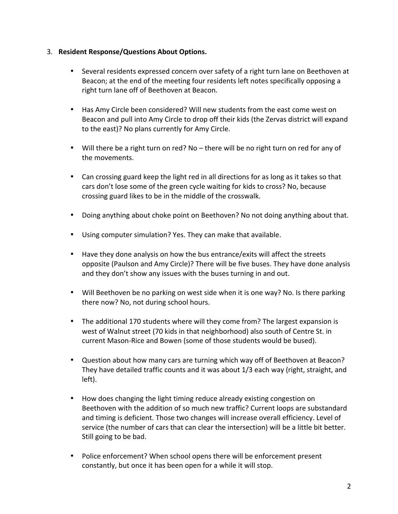#### 3. Resident Response/Questions About Options.

- Several residents expressed concern over safety of a right turn lane on Beethoven at Beacon; at the end of the meeting four residents left notes specifically opposing a right turn lane off of Beethoven at Beacon.
- Has Amy Circle been considered? Will new students from the east come west on Beacon and pull into Amy Circle to drop off their kids (the Zervas district will expand to the east)? No plans currently for Amy Circle.
- Will there be a right turn on red? No there will be no right turn on red for any of the movements.
- Can crossing guard keep the light red in all directions for as long as it takes so that cars don't lose some of the green cycle waiting for kids to cross? No, because crossing guard likes to be in the middle of the crosswalk.
- Doing anything about choke point on Beethoven? No not doing anything about that.
- Using computer simulation? Yes. They can make that available.
- Have they done analysis on how the bus entrance/exits will affect the streets opposite (Paulson and Amy Circle)? There will be five buses. They have done analysis and they don't show any issues with the buses turning in and out.
- Will Beethoven be no parking on west side when it is one way? No. Is there parking there now? No, not during school hours.
- The additional 170 students where will they come from? The largest expansion is west of Walnut street (70 kids in that neighborhood) also south of Centre St. in current Mason-Rice and Bowen (some of those students would be bused).
- Question about how many cars are turning which way off of Beethoven at Beacon? They have detailed traffic counts and it was about  $1/3$  each way (right, straight, and left).
- How does changing the light timing reduce already existing congestion on Beethoven with the addition of so much new traffic? Current loops are substandard and timing is deficient. Those two changes will increase overall efficiency. Level of service (the number of cars that can clear the intersection) will be a little bit better. Still going to be bad.
- Police enforcement? When school opens there will be enforcement present constantly, but once it has been open for a while it will stop.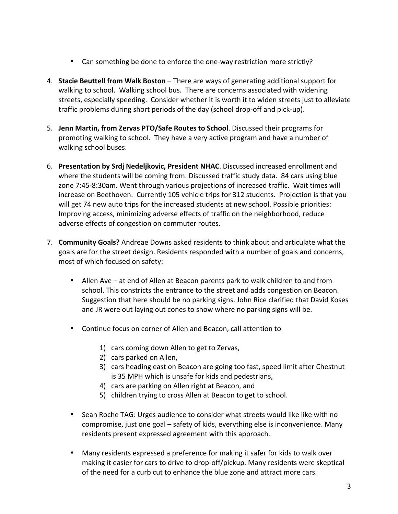- Can something be done to enforce the one-way restriction more strictly?
- 4. **Stacie Beuttell from Walk Boston** There are ways of generating additional support for walking to school. Walking school bus. There are concerns associated with widening streets, especially speeding. Consider whether it is worth it to widen streets just to alleviate traffic problems during short periods of the day (school drop-off and pick-up).
- 5. Jenn Martin, from Zervas PTO/Safe Routes to School. Discussed their programs for promoting walking to school. They have a very active program and have a number of walking school buses.
- 6. **Presentation by Srdj Nedeljkovic, President NHAC**. Discussed increased enrollment and where the students will be coming from. Discussed traffic study data. 84 cars using blue zone 7:45-8:30am. Went through various projections of increased traffic. Wait times will increase on Beethoven. Currently 105 vehicle trips for 312 students. Projection is that you will get 74 new auto trips for the increased students at new school. Possible priorities: Improving access, minimizing adverse effects of traffic on the neighborhood, reduce adverse effects of congestion on commuter routes.
- 7. **Community Goals?** Andreae Downs asked residents to think about and articulate what the goals are for the street design. Residents responded with a number of goals and concerns, most of which focused on safety:
	- Allen Ave at end of Allen at Beacon parents park to walk children to and from school. This constricts the entrance to the street and adds congestion on Beacon. Suggestion that here should be no parking signs. John Rice clarified that David Koses and JR were out laying out cones to show where no parking signs will be.
	- Continue focus on corner of Allen and Beacon, call attention to
		- 1) cars coming down Allen to get to Zervas,
		- 2) cars parked on Allen,
		- 3) cars heading east on Beacon are going too fast, speed limit after Chestnut is 35 MPH which is unsafe for kids and pedestrians,
		- 4) cars are parking on Allen right at Beacon, and
		- 5) children trying to cross Allen at Beacon to get to school.
	- Sean Roche TAG: Urges audience to consider what streets would like like with no compromise, just one goal – safety of kids, everything else is inconvenience. Many residents present expressed agreement with this approach.
	- Many residents expressed a preference for making it safer for kids to walk over making it easier for cars to drive to drop-off/pickup. Many residents were skeptical of the need for a curb cut to enhance the blue zone and attract more cars.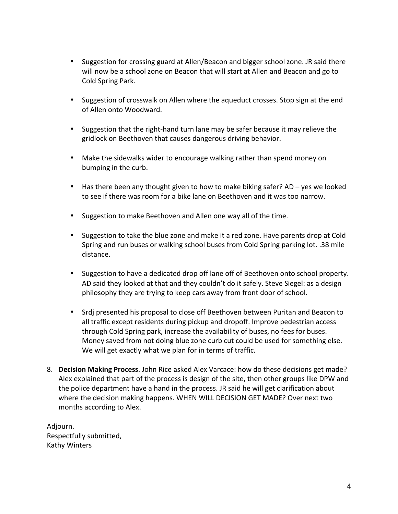- Suggestion for crossing guard at Allen/Beacon and bigger school zone. JR said there will now be a school zone on Beacon that will start at Allen and Beacon and go to Cold Spring Park.
- Suggestion of crosswalk on Allen where the aqueduct crosses. Stop sign at the end of Allen onto Woodward.
- Suggestion that the right-hand turn lane may be safer because it may relieve the gridlock on Beethoven that causes dangerous driving behavior.
- Make the sidewalks wider to encourage walking rather than spend money on bumping in the curb.
- Has there been any thought given to how to make biking safer? AD yes we looked to see if there was room for a bike lane on Beethoven and it was too narrow.
- Suggestion to make Beethoven and Allen one way all of the time.
- Suggestion to take the blue zone and make it a red zone. Have parents drop at Cold Spring and run buses or walking school buses from Cold Spring parking lot. .38 mile distance.
- Suggestion to have a dedicated drop off lane off of Beethoven onto school property. AD said they looked at that and they couldn't do it safely. Steve Siegel: as a design philosophy they are trying to keep cars away from front door of school.
- Srdi presented his proposal to close off Beethoven between Puritan and Beacon to all traffic except residents during pickup and dropoff. Improve pedestrian access through Cold Spring park, increase the availability of buses, no fees for buses. Money saved from not doing blue zone curb cut could be used for something else. We will get exactly what we plan for in terms of traffic.
- 8. **Decision Making Process**. John Rice asked Alex Varcace: how do these decisions get made? Alex explained that part of the process is design of the site, then other groups like DPW and the police department have a hand in the process. JR said he will get clarification about where the decision making happens. WHEN WILL DECISION GET MADE? Over next two months according to Alex.

Adjourn. Respectfully submitted, Kathy Winters